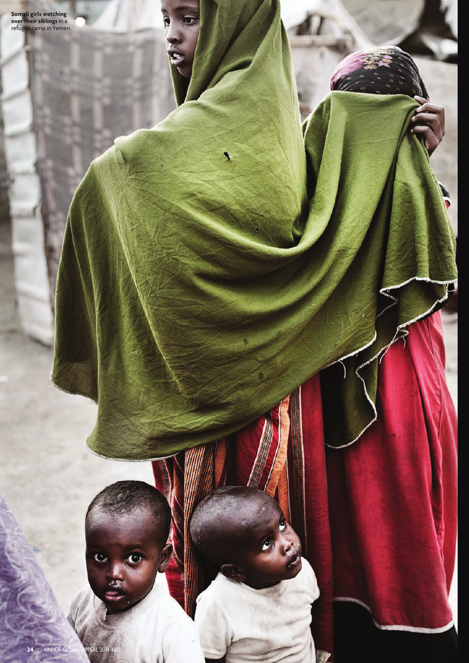**Somali girls watching overtheir siblings** in a refugee camp in Yemen.

١

**24** UNHCR GLOBAL APPEAL 2014-2

 $\overline{c}$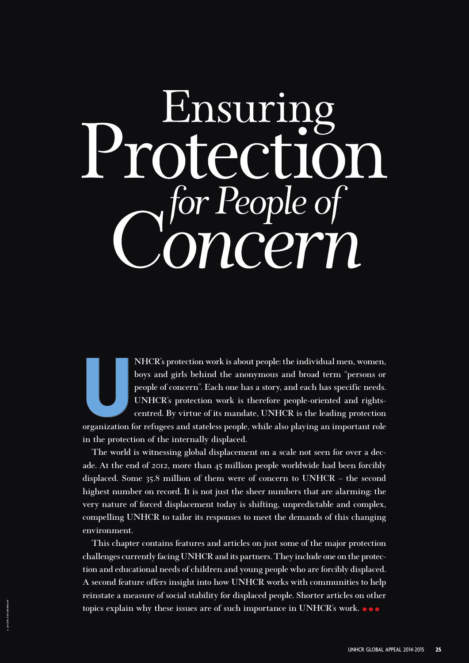# Ensuring  $\overline{\phantom{a}}$  $\boldsymbol{\rho}$ , for People of Concern

**U NHCR's protection work is about people: the individual men, women, boys and girls behind the anonymous and broad term "persons or people of concern". Each one has a story, and each has specific needs. UNHCR's protection work is therefore people-oriented and rightscentred. By virtue of its mandate, UNHCR is the leading protection organization for refugees and stateless people, while also playing an important role in the protection of the internally displaced.**

**The world is witnessing global displacement on a scale not seen for over a decade. At the end of 2012, more than 45 million people worldwide had been forcibly displaced. Some 35.8 million of them were of concern to UNHCR – the second highest number on record. It is not just the sheer numbers that are alarming: the very nature of forced displacement today is shifting, unpredictable and complex, compelling UNHCR to tailor its responses to meet the demands of this changing environment.** 

**This chapter contains features and articles on just some of the major protection challenges currently facing UNHCR and its partners. They include one on the protection and educational needs of children and young people who are forcibly displaced. A second feature offers insight into how UNHCR works with communities to help reinstate a measure of social stability for displaced people. Shorter articles on other topics explain why these issues are of such importance in UNHCR's work.**  $\bullet \bullet$ 

**© JACOB ZOCHERMAN**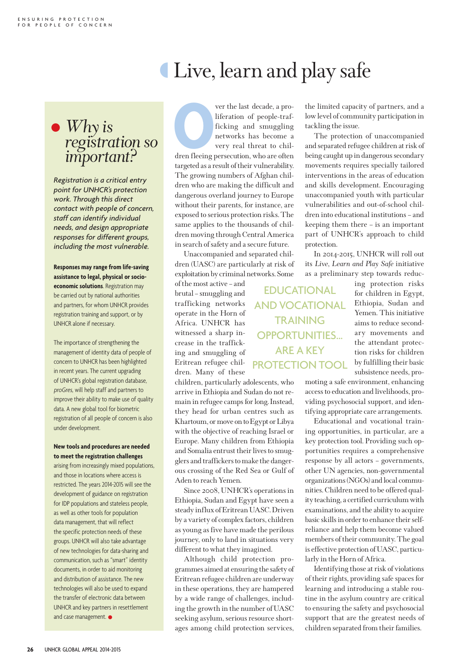### Live, learn and play safe

## • *Why is registration so important?*

*Registration is a critical entry point for UNHCR's protection work. Through this direct contact with people of concern, staff can identify individual needs, and design appropriate responses for different groups, including the most vulnerable.*

**Responses may range from life-saving assistance to legal, physical or socioeconomic solutions**. Registration may be carried out by national authorities and partners, for whom UNHCR provides registration training and support, or by UNHCR alone if necessary.

The importance of strengthening the management of identity data of people of concern to UNHCR has been highlighted in recent years. The current upgrading of UNHCR's global registration database, proGres, will help staff and partners to improve their ability to make use of quality data. A new global tool for biometric registration of all people of concern is also under development.

#### **New tools and procedures are needed to meet the registration challenges**

arising from increasingly mixed populations, and those in locations where access is restricted. The years 2014-2015 will see the development of guidance on registration for IDP populations and stateless people, as well as other tools for population data management, that will reflect the specific protection needs of these groups. UNHCR will also take advantage of new technologies for data-sharing and communication, such as "smart" identity documents, in order to aid monitoring and distribution of assistance. The new technologies will also be used to expand the transfer of electronic data between UNHCR and key partners in resettlement and case management.  $\bullet$ 

**Properties American** ver the last decade, a pro-<br>liferation of people-traf-<br>ficking and smuggling<br>networks has become a<br>very real threat to chil-<br>dren fleeing persecution, who are often liferation of people-trafficking and smuggling networks has become a very real threat to children fleeing persecution, who are often targeted as a result of their vulnerability. The growing numbers of Afghan children who are making the difficult and dangerous overland journey to Europe without their parents, for instance, are exposed to serious protection risks. The same applies to the thousands of children moving through Central America in search of safety and a secure future.

Unaccompanied and separated children (UASC) are particularly at risk of exploitation by criminal networks. Some

of the most active – and brutal – smuggling and trafficking networks operate in the Horn of Africa. UNHCR has witnessed a sharp increase in the trafficking and smuggling of Eritrean refugee children. Many of these

children, particularly adolescents, who arrive in Ethiopia and Sudan do not remain in refugee camps for long. Instead, they head for urban centres such as Khartoum, or move on to Egypt or Libya with the objective of reaching Israel or Europe. Many children from Ethiopia and Somalia entrust their lives to smugglers and traffickers to make the dangerous crossing of the Red Sea or Gulf of Aden to reach Yemen.

Since 2008, UNHCR's operations in Ethiopia, Sudan and Egypt have seen a steady influx of Eritrean UASC. Driven by a variety of complex factors, children as young as five have made the perilous journey, only to land in situations very different to what they imagined.

Although child protection programmes aimed at ensuring the safety of Eritrean refugee children are underway in these operations, they are hampered by a wide range of challenges, including the growth in the number of UASC seeking asylum, serious resource shortages among child protection services,

the limited capacity of partners, and a low level of community participation in tackling the issue.

The protection of unaccompanied and separated refugee children at risk of being caught up in dangerous secondary movements requires specially tailored interventions in the areas of education and skills development. Encouraging unaccompanied youth with particular vulnerabilities and out-of-school children into educational institutions – and keeping them there – is an important part of UNHCR's approach to child protection.

In 2014-2015, UNHCR will roll out its *Live, Learn and Play Safe* initiative as a preliminary step towards reduc-

ing protection risks for children in Egypt, Ethiopia, Sudan and Yemen. This initiative aims to reduce secondary movements and the attendant protection risks for children by fulfilling their basic subsistence needs, pro-EDUCATIONAL AND VOCATIONAL **TRAINING** OPPORTUNITIES... ARE A KEY PROTECTION TOOL

> moting a safe environment, enhancing access to education and livelihoods, providing psychosocial support, and identifying appropriate care arrangements.

> Educational and vocational training opportunities, in particular, are a key protection tool. Providing such opportunities requires a comprehensive response by all actors – governments, other UN agencies, non-governmental organizations (NGOs) and local communities. Children need to be offered quality teaching, a certified curriculum with examinations, and the ability to acquire basic skills in order to enhance their selfreliance and help them become valued members of their community. The goal is effective protection of UASC, particularly in the Horn of Africa.

> Identifying those at risk of violations of their rights, providing safe spaces for learning and introducing a stable routine in the asylum country are critical to ensuring the safety and psychosocial support that are the greatest needs of children separated from their families.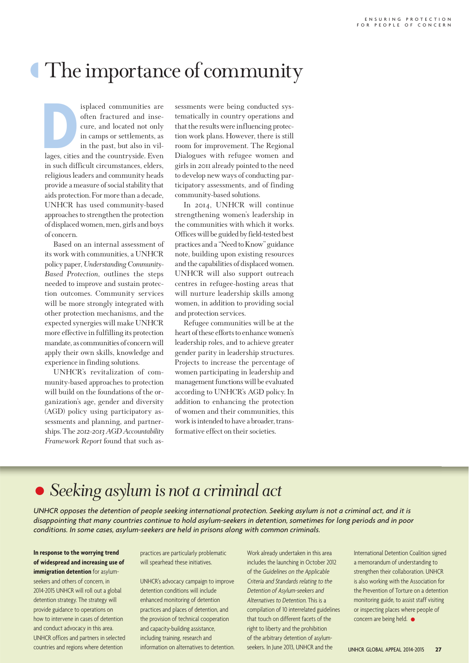### The importance of community

**D**<br>lages, cities isplaced communities are often fractured and insecure, and located not only in camps or settlements, as in the past, but also in villages, cities and the countryside. Even in such difficult circumstances, elders, religious leaders and community heads provide a measure of social stability that aids protection. For more than a decade, UNHCR has used community-based approaches to strengthen the protection of displaced women, men, girls and boys of concern.

Based on an internal assessment of its work with communities, a UNHCR policy paper, *Understanding Community-Based Protection*, outlines the steps needed to improve and sustain protection outcomes. Community services will be more strongly integrated with other protection mechanisms, and the expected synergies will make UNHCR more effective in fulfilling its protection mandate, as communities of concern will apply their own skills, knowledge and experience in finding solutions.

UNHCR's revitalization of community-based approaches to protection will build on the foundations of the organization's age, gender and diversity (AGD) policy using participatory assessments and planning, and partnerships. The *2012-2013 AGD Accountability Framework Report* found that such assessments were being conducted systematically in country operations and that the results were influencing protection work plans. However, there is still room for improvement. The Regional Dialogues with refugee women and girls in 2011 already pointed to the need to develop new ways of conducting participatory assessments, and of finding community-based solutions.

In 2014, UNHCR will continue strengthening women's leadership in the communities with which it works. Offices will be guided by field-tested best practices and a "Need to Know" guidance note, building upon existing resources and the capabilities of displaced women. UNHCR will also support outreach centres in refugee-hosting areas that will nurture leadership skills among women, in addition to providing social and protection services.

Refugee communities will be at the heart of these efforts to enhance women's leadership roles, and to achieve greater gender parity in leadership structures. Projects to increase the percentage of women participating in leadership and management functions will be evaluated according to UNHCR's AGD policy. In addition to enhancing the protection of women and their communities, this work is intended to have a broader, transformative effect on their societies.

#### • *Seeking asylum is not a criminal act*

*UNHCR opposes the detention of people seeking international protection. Seeking asylum is not a criminal act, and it is disappointing that many countries continue to hold asylum-seekers in detention, sometimes for long periods and in poor conditions. In some cases, asylum-seekers are held in prisons along with common criminals.*

#### **In response to the worrying trend of widespread and increasing use of immigration detention** for asylum-

seekers and others of concern, in 2014-2015 UNHCR will roll out a global detention strategy. The strategy will provide guidance to operations on how to intervene in cases of detention and conduct advocacy in this area. UNHCR offices and partners in selected countries and regions where detention

practices are particularly problematic will spearhead these initiatives.

UNHCR's advocacy campaign to improve detention conditions will include enhanced monitoring of detention practices and places of detention, and the provision of technical cooperation and capacity-building assistance, including training, research and information on alternatives to detention. Work already undertaken in this area includes the launching in October 2012 of the Guidelines on the Applicable Criteria and Standards relating to the Detention of Asylum-seekers and Alternatives to Detention. This is a compilation of 10 interrelated guidelines that touch on different facets of the right to liberty and the prohibition of the arbitrary detention of asylumseekers. In June 2013, UNHCR and the

International Detention Coalition signed a memorandum of understanding to strengthen their collaboration. UNHCR is also working with the Association for the Prevention of Torture on a detention monitoring guide, to assist staff visiting or inspecting places where people of concern are being held.  $\bullet$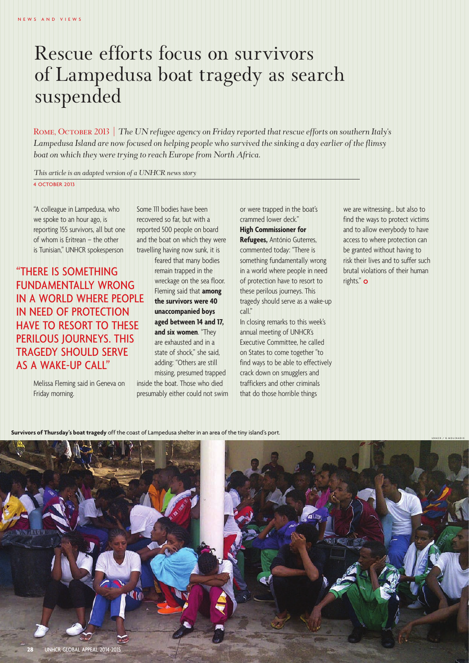### Rescue efforts focus on survivors of Lampedusa boat tragedy as search suspended

Rome, October 2013 *| The UN refugee agency on Friday reported that rescue efforts on southern Italy's Lampedusa Island are now focused on helping people who survived the sinking a day earlier of the flimsy boat on which they were trying to reach Europe from North Africa.*

*This article is an adapted version of a UNHCR news story*

4 OCTOBER 2013

"A colleague in Lampedusa, who we spoke to an hour ago, is reporting 155 survivors, all but one of whom is Eritrean – the other is Tunisian," UNHCR spokesperson

"THERE IS SOMETHING FUNDAMENTALLY WRONG IN A WORLD WHERE PEOPLE IN NEED OF PROTECTION HAVE TO RESORT TO THESE PERILOUS JOURNEYS. THIS TRAGEDY SHOULD SERVE AS A WAKE-UP CALL"

> Melissa Fleming said in Geneva on Friday morning.

Some 111 bodies have been recovered so far, but with a reported 500 people on board and the boat on which they were travelling having now sunk, it is

> feared that many bodies remain trapped in the wreckage on the sea floor. Fleming said that **among the survivors were 40 unaccompanied boys aged between 14 and 17, and six women**. "They are exhausted and in a state of shock," she said, adding: "Others are still missing, presumed trapped

inside the boat. Those who died presumably either could not swim or were trapped in the boat's crammed lower deck." **High Commissioner for Refugees,** António Guterres, commented today: "There is something fundamentally wrong in a world where people in need of protection have to resort to these perilous journeys. This tragedy should serve as a wake-up call."

In closing remarks to this week's annual meeting of UNHCR's Executive Committee, he called on States to come together "to find ways to be able to effectively crack down on smugglers and traffickers and other criminals that do those horrible things

we are witnessing… but also to find the ways to protect victims and to allow everybody to have access to where protection can be granted without having to risk their lives and to suffer such brutal violations of their human rights." $\circ$ 

**Survivors of Thursday's boat tragedy** off the coast of Lampedusa shelter in an area of the tiny island's port.

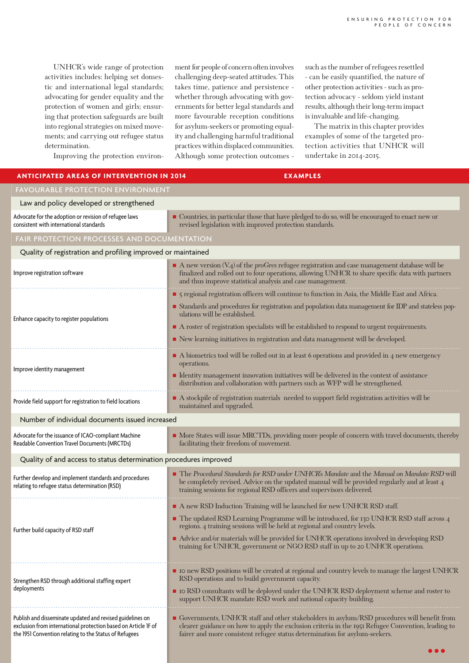UNHCR's wide range of protection activities includes: helping set domestic and international legal standards; advocating for gender equality and the protection of women and girls; ensuring that protection safeguards are built into regional strategies on mixed movements; and carrying out refugee status determination.

Improving the protection environ-

ment for people of concern often involves challenging deep-seated attitudes. This takes time, patience and persistence whether through advocating with governments for better legal standards and more favourable reception conditions for asylum-seekers or promoting equality and challenging harmful traditional practices within displaced communities. Although some protection outcomes - such as the number of refugees resettled - can be easily quantified, the nature of other protection activities - such as protection advocacy - seldom yield instant results, although their long-term impact is invaluable and life-changing.

The matrix in this chapter provides examples of some of the targeted protection activities that UNHCR will undertake in 2014-2015.

| <b>ANTICIPATED AREAS OF INTERVENTION IN 2014</b>                                                                                                                                      | <b>EXAMPLES</b>                                                                                                                                                                                                                                                                 |
|---------------------------------------------------------------------------------------------------------------------------------------------------------------------------------------|---------------------------------------------------------------------------------------------------------------------------------------------------------------------------------------------------------------------------------------------------------------------------------|
| <b>FAVOURABLE PROTECTION ENVIRONMENT</b>                                                                                                                                              |                                                                                                                                                                                                                                                                                 |
| Law and policy developed or strengthened                                                                                                                                              |                                                                                                                                                                                                                                                                                 |
| Advocate for the adoption or revision of refugee laws<br>consistent with international standards                                                                                      | Countries, in particular those that have pledged to do so, will be encouraged to enact new or<br>revised legislation with improved protection standards.                                                                                                                        |
| FAIR PROTECTION PROCESSES AND DOCUMENTATION                                                                                                                                           |                                                                                                                                                                                                                                                                                 |
| Quality of registration and profiling improved or maintained                                                                                                                          |                                                                                                                                                                                                                                                                                 |
| Improve registration software                                                                                                                                                         | A new version (V.4) of the proGres refugee registration and case management database will be<br>finalized and rolled out to four operations, allowing UNHCR to share specific data with partners<br>and thus improve statistical analysis and case management.                  |
| Enhance capacity to register populations                                                                                                                                              | • 5 regional registration officers will continue to function in Asia, the Middle East and Africa.                                                                                                                                                                               |
|                                                                                                                                                                                       | Standards and procedures for registration and population data management for IDP and stateless pop-<br>ulations will be established.                                                                                                                                            |
|                                                                                                                                                                                       | A roster of registration specialists will be established to respond to urgent requirements.                                                                                                                                                                                     |
|                                                                                                                                                                                       | New learning initiatives in registration and data management will be developed.                                                                                                                                                                                                 |
| Improve identity management                                                                                                                                                           | A biometrics tool will be rolled out in at least 6 operations and provided in 4 new emergency<br>operations.                                                                                                                                                                    |
|                                                                                                                                                                                       | Identity management innovation initiatives will be delivered in the context of assistance<br>distribution and collaboration with partners such as WFP will be strengthened.                                                                                                     |
| Provide field support for registration to field locations                                                                                                                             | A stockpile of registration materials needed to support field registration activities will be<br>maintained and upgraded.                                                                                                                                                       |
| Number of individual documents issued increased                                                                                                                                       |                                                                                                                                                                                                                                                                                 |
| Advocate for the issuance of ICAO-compliant Machine<br>Readable Convention Travel Documents (MRCTDs)                                                                                  | • More States will issue MRCTDs, providing more people of concern with travel documents, thereby<br>facilitating their freedom of movement.                                                                                                                                     |
| Quality of and access to status determination procedures improved                                                                                                                     |                                                                                                                                                                                                                                                                                 |
| Further develop and implement standards and procedures<br>relating to refugee status determination (RSD)                                                                              | The Procedural Standards for RSD under UNHCR's Mandate and the Manual on Mandate RSD will<br>be completely revised. Advice on the updated manual will be provided regularly and at least 4<br>training sessions for regional RSD officers and supervisors delivered             |
| Further build capacity of RSD staff                                                                                                                                                   | A new RSD Induction Training will be launched for new UNHCR RSD staff.                                                                                                                                                                                                          |
|                                                                                                                                                                                       | The updated RSD Learning Programme will be introduced, for 130 UNHCR RSD staff across 4<br>regions. 4 training sessions will be held at regional and country levels.                                                                                                            |
|                                                                                                                                                                                       | Advice and/or materials will be provided for UNHCR operations involved in developing RSD<br>training for UNHCR, government or NGO RSD staff in up to 20 UNHCR operations.                                                                                                       |
| Strengthen RSD through additional staffing expert<br>deployments                                                                                                                      | ■ IO new RSD positions will be created at regional and country levels to manage the largest UNHCR<br>RSD operations and to build government capacity.                                                                                                                           |
|                                                                                                                                                                                       | • Io RSD consultants will be deployed under the UNHCR RSD deployment scheme and roster to<br>support UNHCR mandate RSD work and national capacity building.                                                                                                                     |
| Publish and disseminate updated and revised guidelines on<br>exclusion from international protection based on Article IF of<br>the 1951 Convention relating to the Status of Refugees | Governments, UNHCR staff and other stakeholders in asylum/RSD procedures will benefit from<br>clearer guidance on how to apply the exclusion criteria in the 1951 Refugee Convention, leading to<br>fairer and more consistent refugee status determination for asylum-seekers. |
|                                                                                                                                                                                       |                                                                                                                                                                                                                                                                                 |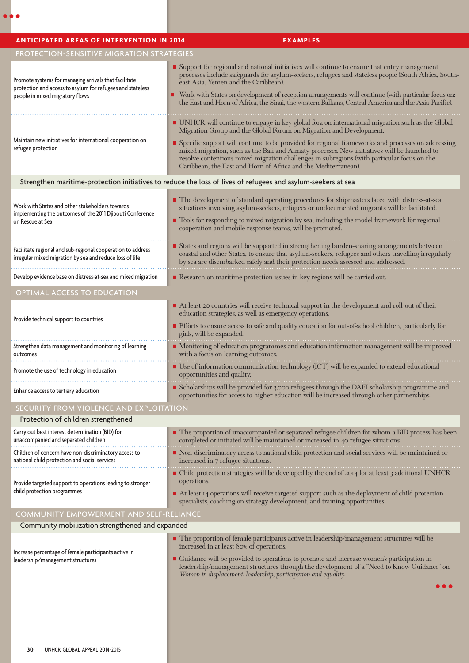| <b>ANTICIPATED AREAS OF INTERVENTION IN 2014</b>                                                                                                       | <b>EXAMPLES</b>                                                                                                                                                                                                                                                                                                                                                                                                                                                                                                                              |
|--------------------------------------------------------------------------------------------------------------------------------------------------------|----------------------------------------------------------------------------------------------------------------------------------------------------------------------------------------------------------------------------------------------------------------------------------------------------------------------------------------------------------------------------------------------------------------------------------------------------------------------------------------------------------------------------------------------|
| PROTECTION-SENSITIVE MIGRATION STRATEGIES                                                                                                              |                                                                                                                                                                                                                                                                                                                                                                                                                                                                                                                                              |
| Promote systems for managing arrivals that facilitate<br>protection and access to asylum for refugees and stateless<br>people in mixed migratory flows | Support for regional and national initiatives will continue to ensure that entry management<br>processes include safeguards for asylum-seekers, refugees and stateless people (South Africa, South-<br>east Asia, Yemen and the Caribbean).<br>• Work with States on development of reception arrangements will continue (with particular focus on:<br>the East and Horn of Africa, the Sinai, the western Balkans, Central America and the Asia-Pacific).                                                                                   |
| Maintain new initiatives for international cooperation on<br>refugee protection                                                                        | • UNHCR will continue to engage in key global fora on international migration such as the Global<br>Migration Group and the Global Forum on Migration and Development.<br>• Specific support will continue to be provided for regional frameworks and processes on addressing<br>mixed migration, such as the Bali and Almaty processes. New initiatives will be launched to<br>resolve contentious mixed migration challenges in subregions (with particular focus on the<br>Caribbean, the East and Horn of Africa and the Mediterranean). |
|                                                                                                                                                        | Strengthen maritime-protection initiatives to reduce the loss of lives of refugees and asylum-seekers at sea                                                                                                                                                                                                                                                                                                                                                                                                                                 |
| Work with States and other stakeholders towards<br>implementing the outcomes of the 2011 Djibouti Conference<br>on Rescue at Sea                       | The development of standard operating procedures for shipmasters faced with distress-at-sea<br>situations involving asylum-seekers, refugees or undocumented migrants will be facilitated.<br>• Tools for responding to mixed migration by sea, including the model framework for regional<br>cooperation and mobile response teams, will be promoted.                                                                                                                                                                                       |
| Facilitate regional and sub-regional cooperation to address<br>irregular mixed migration by sea and reduce loss of life                                | States and regions will be supported in strengthening burden-sharing arrangements between<br>coastal and other States, to ensure that asylum-seekers, refugees and others travelling irregularly<br>by sea are disembarked safely and their protection needs assessed and addressed.                                                                                                                                                                                                                                                         |
| Develop evidence base on distress-at-sea and mixed migration                                                                                           | Research on maritime protection issues in key regions will be carried out.                                                                                                                                                                                                                                                                                                                                                                                                                                                                   |
| <b>OPTIMAL ACCESS TO EDUCATION</b>                                                                                                                     |                                                                                                                                                                                                                                                                                                                                                                                                                                                                                                                                              |
| Provide technical support to countries                                                                                                                 | At least 20 countries will receive technical support in the development and roll-out of their<br>education strategies, as well as emergency operations.<br>Efforts to ensure access to safe and quality education for out-of-school children, particularly for                                                                                                                                                                                                                                                                               |
| Strengthen data management and monitoring of learning<br>outcomes                                                                                      | girls, will be expanded.<br>• Monitoring of education programmes and education information management will be improved<br>with a focus on learning outcomes.                                                                                                                                                                                                                                                                                                                                                                                 |
| Promote the use of technology in education                                                                                                             | • Use of information communication technology (ICT) will be expanded to extend educational<br>opportunities and quality.                                                                                                                                                                                                                                                                                                                                                                                                                     |
| Enhance access to tertiary education                                                                                                                   | Scholarships will be provided for 3,000 refugees through the DAFI scholarship programme and<br>opportunities for access to higher education will be increased through other partnerships.                                                                                                                                                                                                                                                                                                                                                    |
| SECURITY FROM VIOLENCE AND EXPLOITATION                                                                                                                |                                                                                                                                                                                                                                                                                                                                                                                                                                                                                                                                              |
| Protection of children strengthened                                                                                                                    |                                                                                                                                                                                                                                                                                                                                                                                                                                                                                                                                              |
| Carry out best interest determination (BID) for<br>unaccompanied and separated children                                                                | The proportion of unaccompanied or separated refugee children for whom a BID process has been<br>completed or initiated will be maintained or increased in 40 refugee situations.                                                                                                                                                                                                                                                                                                                                                            |
| Children of concern have non-discriminatory access to<br>national child protection and social services                                                 | Non-discriminatory access to national child protection and social services will be maintained or<br>increased in 7 refugee situations.                                                                                                                                                                                                                                                                                                                                                                                                       |
| Provide targeted support to operations leading to stronger<br>child protection programmes                                                              | • Child protection strategies will be developed by the end of 2014 for at least 3 additional UNHCR<br>operations.<br>■ At least 14 operations will receive targeted support such as the deployment of child protection<br>specialists, coaching on strategy development, and training opportunities.                                                                                                                                                                                                                                         |
| COMMUNITY EMPOWERMENT AND SELF-RELIANCE                                                                                                                |                                                                                                                                                                                                                                                                                                                                                                                                                                                                                                                                              |
| Community mobilization strengthened and expanded                                                                                                       |                                                                                                                                                                                                                                                                                                                                                                                                                                                                                                                                              |
| Increase percentage of female participants active in<br>leadership/management structures                                                               | • The proportion of female participants active in leadership/management structures will be<br>increased in at least 80% of operations.<br>Guidance will be provided to operations to promote and increase women's participation in<br>leadership/management structures through the development of a "Need to Know Guidance" on<br>Women in displacement: leadership, participation and equality.                                                                                                                                             |
|                                                                                                                                                        |                                                                                                                                                                                                                                                                                                                                                                                                                                                                                                                                              |

 $\bullet \bullet \bullet$